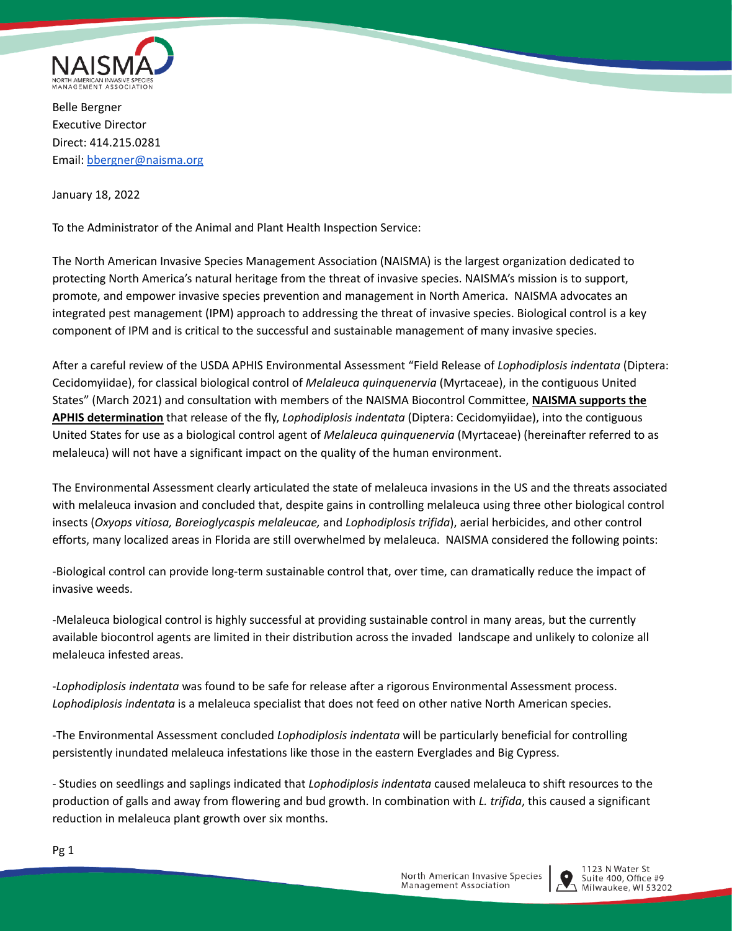

Belle Bergner Executive Director Direct: 414.215.0281 Email: [bbergner@naisma.org](mailto:bbergner@naisma.org)

January 18, 2022

To the Administrator of the Animal and Plant Health Inspection Service:

The North American Invasive Species Management Association (NAISMA) is the largest organization dedicated to protecting North America's natural heritage from the threat of invasive species. NAISMA's mission is to support, promote, and empower invasive species prevention and management in North America. NAISMA advocates an integrated pest management (IPM) approach to addressing the threat of invasive species. Biological control is a key component of IPM and is critical to the successful and sustainable management of many invasive species.

After a careful review of the USDA APHIS Environmental Assessment "Field Release of *Lophodiplosis indentata* (Diptera: Cecidomyiidae), for classical biological control of *Melaleuca quinquenervia* (Myrtaceae), in the contiguous United States" (March 2021) and consultation with members of the NAISMA Biocontrol Committee, **NAISMA supports the APHIS determination** that release of the fly, *Lophodiplosis indentata* (Diptera: Cecidomyiidae), into the contiguous United States for use as a biological control agent of *Melaleuca quinquenervia* (Myrtaceae) (hereinafter referred to as melaleuca) will not have a significant impact on the quality of the human environment.

The Environmental Assessment clearly articulated the state of melaleuca invasions in the US and the threats associated with melaleuca invasion and concluded that, despite gains in controlling melaleuca using three other biological control insects (*Oxyops vitiosa, Boreioglycaspis melaleucae,* and *Lophodiplosis trifida*), aerial herbicides, and other control efforts, many localized areas in Florida are still overwhelmed by melaleuca. NAISMA considered the following points:

-Biological control can provide long-term sustainable control that, over time, can dramatically reduce the impact of invasive weeds.

-Melaleuca biological control is highly successful at providing sustainable control in many areas, but the currently available biocontrol agents are limited in their distribution across the invaded landscape and unlikely to colonize all melaleuca infested areas.

-*Lophodiplosis indentata* was found to be safe for release after a rigorous Environmental Assessment process. *Lophodiplosis indentata* is a melaleuca specialist that does not feed on other native North American species.

-The Environmental Assessment concluded *Lophodiplosis indentata* will be particularly beneficial for controlling persistently inundated melaleuca infestations like those in the eastern Everglades and Big Cypress.

- Studies on seedlings and saplings indicated that *Lophodiplosis indentata* caused melaleuca to shift resources to the production of galls and away from flowering and bud growth. In combination with *L. trifida*, this caused a significant reduction in melaleuca plant growth over six months.